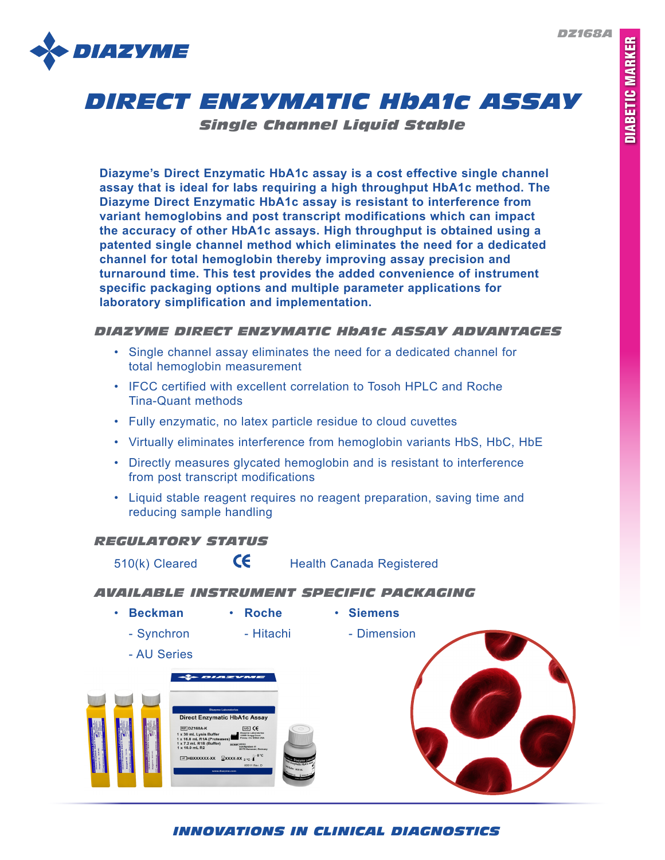*DZ168A*



# *DIRECT ENZYMATIC HbA1c ASSAY*

*Single Channel Liquid Stable*

**Diazyme's Direct Enzymatic HbA1c assay is a cost effective single channel assay that is ideal for labs requiring a high throughput HbA1c method. The Diazyme Direct Enzymatic HbA1c assay is resistant to interference from variant hemoglobins and post transcript modifications which can impact the accuracy of other HbA1c assays. High throughput is obtained using a patented single channel method which eliminates the need for a dedicated channel for total hemoglobin thereby improving assay precision and turnaround time. This test provides the added convenience of instrument specific packaging options and multiple parameter applications for laboratory simplification and implementation.**

# *DIAZYME DIRECT ENZYMATIC HbA1c ASSAY ADVANTAGES*

- Single channel assay eliminates the need for a dedicated channel for total hemoglobin measurement
- IFCC certified with excellent correlation to Tosoh HPLC and Roche Tina-Quant methods
- Fully enzymatic, no latex particle residue to cloud cuvettes
- Virtually eliminates interference from hemoglobin variants HbS, HbC, HbE
- Directly measures glycated hemoglobin and is resistant to interference from post transcript modifications
- Liquid stable reagent requires no reagent preparation, saving time and reducing sample handling

# *REGULATORY STATUS*

510(k) Cleared  $\mathsf{G}\mathsf{E}$  Health Canada Registered

## *AVAILABLE INSTRUMENT SPECIFIC PACKAGING*

• **Beckman** • **Roche** • **Siemens**

- Synchron - Hitachi - Dimension



- AU Series



*INNOVATIONS IN CLINICAL DIAGNOSTICS*